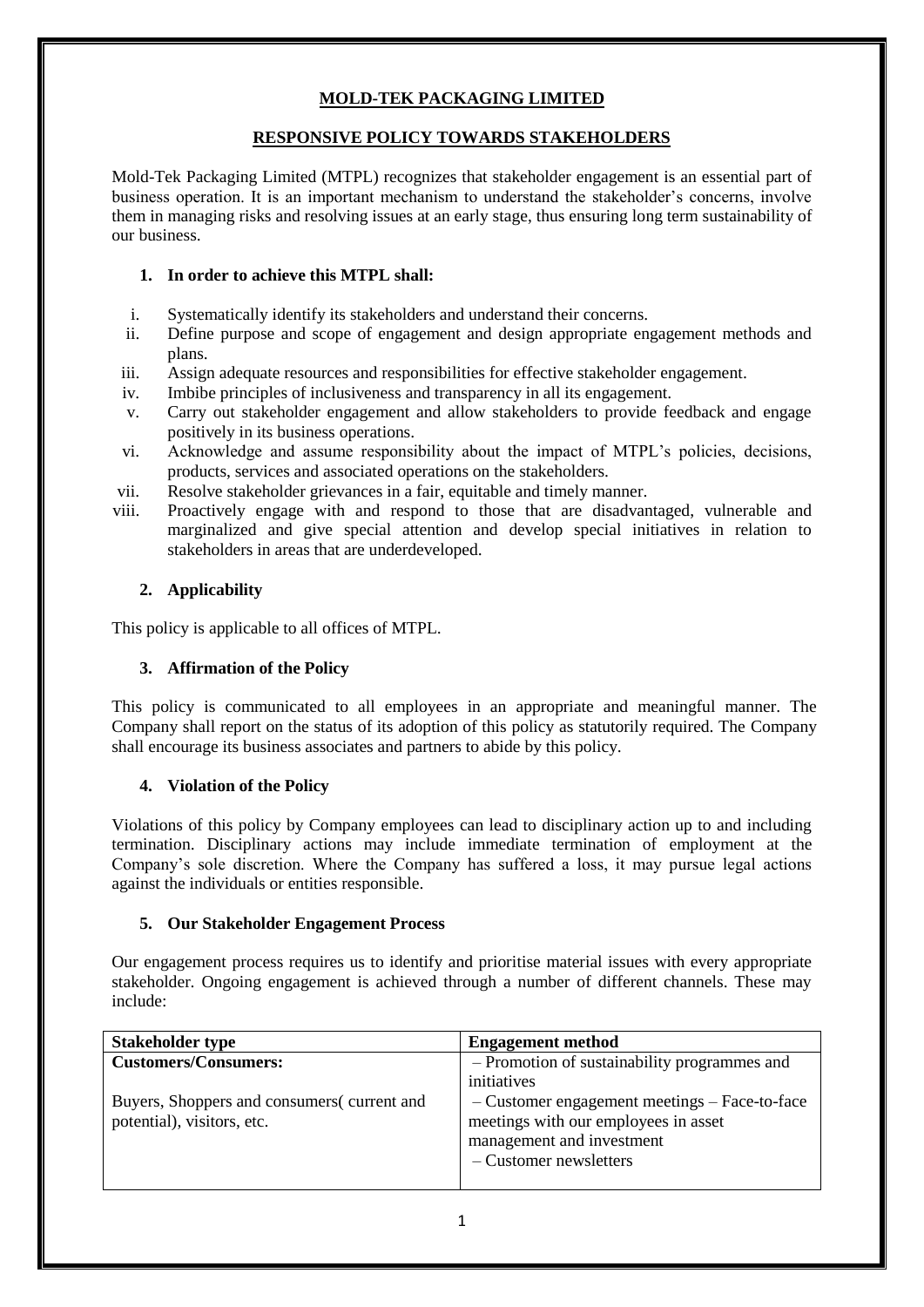# **MOLD-TEK PACKAGING LIMITED**

#### **RESPONSIVE POLICY TOWARDS STAKEHOLDERS**

Mold-Tek Packaging Limited (MTPL) recognizes that stakeholder engagement is an essential part of business operation. It is an important mechanism to understand the stakeholder's concerns, involve them in managing risks and resolving issues at an early stage, thus ensuring long term sustainability of our business.

#### **1. In order to achieve this MTPL shall:**

- i. Systematically identify its stakeholders and understand their concerns.
- ii. Define purpose and scope of engagement and design appropriate engagement methods and plans.
- iii. Assign adequate resources and responsibilities for effective stakeholder engagement.
- iv. Imbibe principles of inclusiveness and transparency in all its engagement.
- v. Carry out stakeholder engagement and allow stakeholders to provide feedback and engage positively in its business operations.
- vi. Acknowledge and assume responsibility about the impact of MTPL's policies, decisions, products, services and associated operations on the stakeholders.
- vii. Resolve stakeholder grievances in a fair, equitable and timely manner.
- viii. Proactively engage with and respond to those that are disadvantaged, vulnerable and marginalized and give special attention and develop special initiatives in relation to stakeholders in areas that are underdeveloped.

## **2. Applicability**

This policy is applicable to all offices of MTPL.

## **3. Affirmation of the Policy**

This policy is communicated to all employees in an appropriate and meaningful manner. The Company shall report on the status of its adoption of this policy as statutorily required. The Company shall encourage its business associates and partners to abide by this policy.

## **4. Violation of the Policy**

Violations of this policy by Company employees can lead to disciplinary action up to and including termination. Disciplinary actions may include immediate termination of employment at the Company's sole discretion. Where the Company has suffered a loss, it may pursue legal actions against the individuals or entities responsible.

#### **5. Our Stakeholder Engagement Process**

Our engagement process requires us to identify and prioritise material issues with every appropriate stakeholder. Ongoing engagement is achieved through a number of different channels. These may include:

| <b>Stakeholder type</b>                     | <b>Engagement method</b>                      |
|---------------------------------------------|-----------------------------------------------|
| <b>Customers/Consumers:</b>                 | - Promotion of sustainability programmes and  |
|                                             | initiatives                                   |
| Buyers, Shoppers and consumers (current and | - Customer engagement meetings - Face-to-face |
| potential), visitors, etc.                  | meetings with our employees in asset          |
|                                             | management and investment                     |
|                                             | - Customer newsletters                        |
|                                             |                                               |